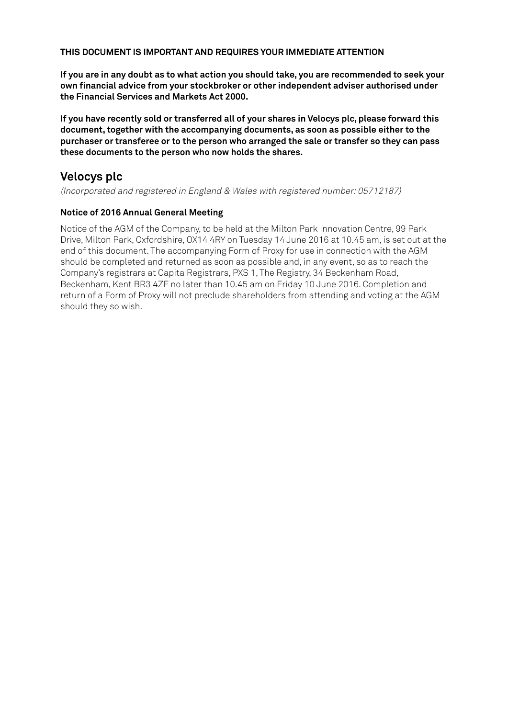#### **THIS DOCUMENT IS IMPORTANT AND REQUIRES YOUR IMMEDIATE ATTENTION**

**If you are in any doubt as to what action you should take, you are recommended to seek your own financial advice from your stockbroker or other independent adviser authorised under the Financial Services and Markets Act 2000.**

**If you have recently sold or transferred all of your shares in Velocys plc, please forward this document, together with the accompanying documents, as soon as possible either to the purchaser or transferee or to the person who arranged the sale or transfer so they can pass these documents to the person who now holds the shares.**

# **Velocys plc**

(Incorporated and registered in England & Wales with registered number: 05712187)

# **Notice of 2016 Annual General Meeting**

Notice of the AGM of the Company, to be held at the Milton Park Innovation Centre, 99 Park Drive, Milton Park, Oxfordshire, OX14 4RY on Tuesday 14 June 2016 at 10.45 am, is set out at the end of this document. The accompanying Form of Proxy for use in connection with the AGM should be completed and returned as soon as possible and, in any event, so as to reach the Company's registrars at Capita Registrars, PXS 1, The Registry, 34 Beckenham Road, Beckenham, Kent BR3 4ZF no later than 10.45 am on Friday 10 June 2016. Completion and return of a Form of Proxy will not preclude shareholders from attending and voting at the AGM should they so wish.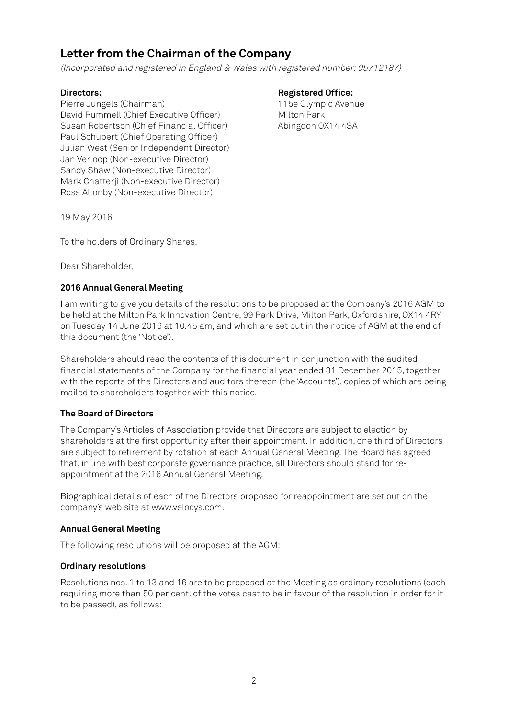# **Letter from the Chairman of the Company**

(Incorporated and registered in England & Wales with registered number: 05712187)

Pierre Jungels (Chairman) and the Chairman of the Museum of the Olympic Avenue David Pummell (Chief Executive Officer) Milton Park Susan Robertson (Chief Financial Officer) Abingdon 0X14 4SA Paul Schubert (Chief Operating Officer) Julian West (Senior Independent Director) Jan Verloop (Non-executive Director) Sandy Shaw (Non-executive Director) Mark Chatterji (Non-executive Director) Ross Allonby (Non-executive Director)

**Directors:** Registered Office:

19 May 2016

To the holders of Ordinary Shares.

Dear Shareholder,

# **2016 Annual General Meeting**

I am writing to give you details of the resolutions to be proposed at the Company's 2016 AGM to be held at the Milton Park Innovation Centre, 99 Park Drive, Milton Park, Oxfordshire, OX14 4RY on Tuesday 14 June 2016 at 10.45 am, and which are set out in the notice of AGM at the end of this document (the 'Notice').

Shareholders should read the contents of this document in conjunction with the audited financial statements of the Company for the financial year ended 31 December 2015, together with the reports of the Directors and auditors thereon (the 'Accounts'), copies of which are being mailed to shareholders together with this notice.

# **The Board of Directors**

The Company's Articles of Association provide that Directors are subject to election by shareholders at the first opportunity after their appointment. In addition, one third of Directors are subject to retirement by rotation at each Annual General Meeting. The Board has agreed that, in line with best corporate governance practice, all Directors should stand for reappointment at the 2016 Annual General Meeting.

Biographical details of each of the Directors proposed for reappointment are set out on the company's web site at www.velocys.com.

# **Annual General Meeting**

The following resolutions will be proposed at the AGM:

# **Ordinary resolutions**

Resolutions nos. 1 to 13 and 16 are to be proposed at the Meeting as ordinary resolutions (each requiring more than 50 per cent. of the votes cast to be in favour of the resolution in order for it to be passed), as follows: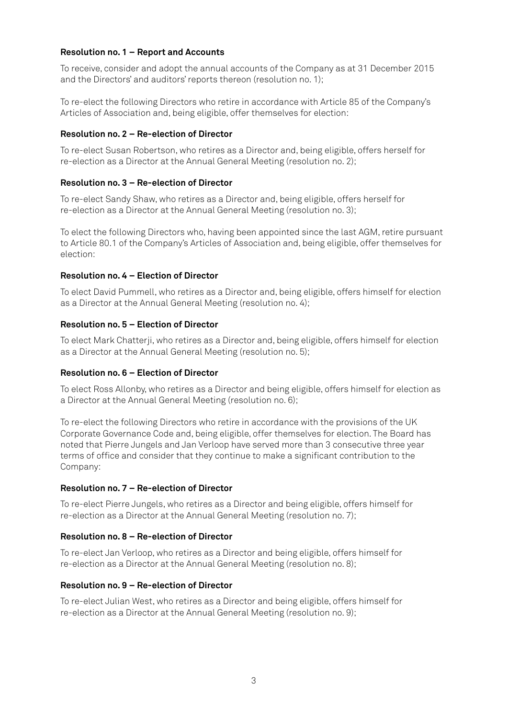#### **Resolution no. 1 – Report and Accounts**

To receive, consider and adopt the annual accounts of the Company as at 31 December 2015 and the Directors' and auditors' reports thereon (resolution no. 1);

To re-elect the following Directors who retire in accordance with Article 85 of the Company's Articles of Association and, being eligible, offer themselves for election:

#### **Resolution no. 2 – Re-election of Director**

To re-elect Susan Robertson, who retires as a Director and, being eligible, offers herself for re-election as a Director at the Annual General Meeting (resolution no. 2);

#### **Resolution no. 3 – Re-election of Director**

To re-elect Sandy Shaw, who retires as a Director and, being eligible, offers herself for re-election as a Director at the Annual General Meeting (resolution no. 3);

To elect the following Directors who, having been appointed since the last AGM, retire pursuant to Article 80.1 of the Company's Articles of Association and, being eligible, offer themselves for election:

#### **Resolution no. 4 – Election of Director**

To elect David Pummell, who retires as a Director and, being eligible, offers himself for election as a Director at the Annual General Meeting (resolution no. 4);

#### **Resolution no. 5 – Election of Director**

To elect Mark Chatterji, who retires as a Director and, being eligible, offers himself for election as a Director at the Annual General Meeting (resolution no. 5);

# **Resolution no. 6 – Election of Director**

To elect Ross Allonby, who retires as a Director and being eligible, offers himself for election as a Director at the Annual General Meeting (resolution no. 6);

To re-elect the following Directors who retire in accordance with the provisions of the UK Corporate Governance Code and, being eligible, offer themselves for election. The Board has noted that Pierre Jungels and Jan Verloop have served more than 3 consecutive three year terms of office and consider that they continue to make a significant contribution to the Company:

#### **Resolution no. 7 – Re-election of Director**

To re-elect Pierre Jungels, who retires as a Director and being eligible, offers himself for re-election as a Director at the Annual General Meeting (resolution no. 7);

#### **Resolution no. 8 – Re-election of Director**

To re-elect Jan Verloop, who retires as a Director and being eligible, offers himself for re-election as a Director at the Annual General Meeting (resolution no. 8);

#### **Resolution no. 9 – Re-election of Director**

To re-elect Julian West, who retires as a Director and being eligible, offers himself for re-election as a Director at the Annual General Meeting (resolution no. 9);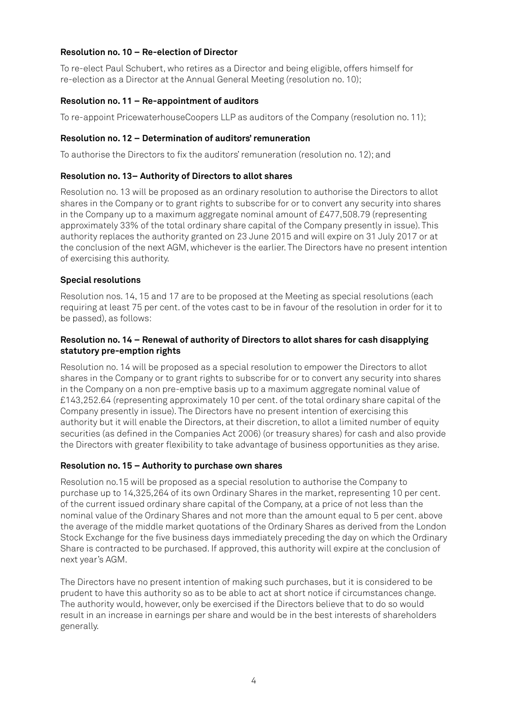# **Resolution no. 10 – Re-election of Director**

To re-elect Paul Schubert, who retires as a Director and being eligible, offers himself for re-election as a Director at the Annual General Meeting (resolution no. 10);

# **Resolution no. 11 – Re-appointment of auditors**

To re-appoint PricewaterhouseCoopers LLP as auditors of the Company (resolution no. 11);

# **Resolution no. 12 – Determination of auditors' remuneration**

To authorise the Directors to fix the auditors' remuneration (resolution no. 12); and

# **Resolution no. 13– Authority of Directors to allot shares**

Resolution no. 13 will be proposed as an ordinary resolution to authorise the Directors to allot shares in the Company or to grant rights to subscribe for or to convert any security into shares in the Company up to a maximum aggregate nominal amount of £477,508.79 (representing approximately 33% of the total ordinary share capital of the Company presently in issue). This authority replaces the authority granted on 23 June 2015 and will expire on 31 July 2017 or at the conclusion of the next AGM, whichever is the earlier. The Directors have no present intention of exercising this authority.

# **Special resolutions**

Resolution nos. 14, 15 and 17 are to be proposed at the Meeting as special resolutions (each requiring at least 75 per cent. of the votes cast to be in favour of the resolution in order for it to be passed), as follows:

# **Resolution no. 14 – Renewal of authority of Directors to allot shares for cash disapplying statutory pre-emption rights**

Resolution no. 14 will be proposed as a special resolution to empower the Directors to allot shares in the Company or to grant rights to subscribe for or to convert any security into shares in the Company on a non pre-emptive basis up to a maximum aggregate nominal value of £143,252.64 (representing approximately 10 per cent. of the total ordinary share capital of the Company presently in issue). The Directors have no present intention of exercising this authority but it will enable the Directors, at their discretion, to allot a limited number of equity securities (as defined in the Companies Act 2006) (or treasury shares) for cash and also provide the Directors with greater flexibility to take advantage of business opportunities as they arise.

# **Resolution no. 15 – Authority to purchase own shares**

Resolution no.15 will be proposed as a special resolution to authorise the Company to purchase up to 14,325,264 of its own Ordinary Shares in the market, representing 10 per cent. of the current issued ordinary share capital of the Company, at a price of not less than the nominal value of the Ordinary Shares and not more than the amount equal to 5 per cent. above the average of the middle market quotations of the Ordinary Shares as derived from the London Stock Exchange for the five business days immediately preceding the day on which the Ordinary Share is contracted to be purchased. If approved, this authority will expire at the conclusion of next year's AGM.

The Directors have no present intention of making such purchases, but it is considered to be prudent to have this authority so as to be able to act at short notice if circumstances change. The authority would, however, only be exercised if the Directors believe that to do so would result in an increase in earnings per share and would be in the best interests of shareholders generally.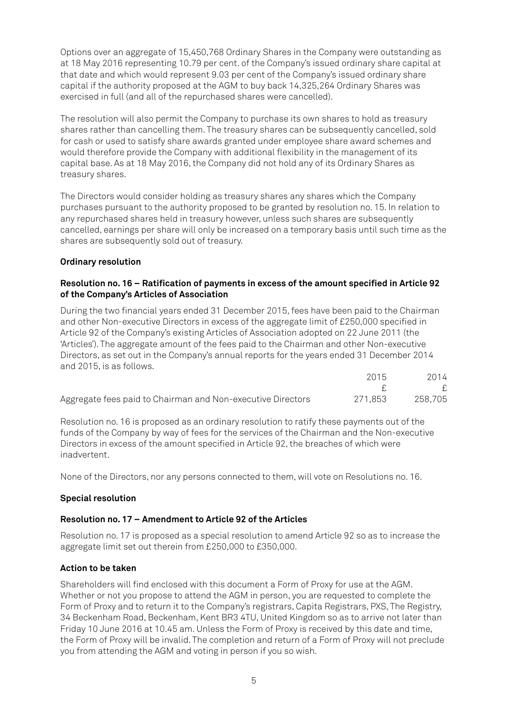Options over an aggregate of 15,450,768 Ordinary Shares in the Company were outstanding as at 18 May 2016 representing 10.79 per cent. of the Company's issued ordinary share capital at that date and which would represent 9.03 per cent of the Company's issued ordinary share capital if the authority proposed at the AGM to buy back 14,325,264 Ordinary Shares was exercised in full (and all of the repurchased shares were cancelled).

The resolution will also permit the Company to purchase its own shares to hold as treasury shares rather than cancelling them. The treasury shares can be subsequently cancelled, sold for cash or used to satisfy share awards granted under employee share award schemes and would therefore provide the Company with additional flexibility in the management of its capital base. As at 18 May 2016, the Company did not hold any of its Ordinary Shares as treasury shares.

The Directors would consider holding as treasury shares any shares which the Company purchases pursuant to the authority proposed to be granted by resolution no. 15. In relation to any repurchased shares held in treasury however, unless such shares are subsequently cancelled, earnings per share will only be increased on a temporary basis until such time as the shares are subsequently sold out of treasury.

# **Ordinary resolution**

# **Resolution no. 16 – Ratification of payments in excess of the amount specified in Article 92 of the Company's Articles of Association**

During the two financial years ended 31 December 2015, fees have been paid to the Chairman and other Non-executive Directors in excess of the aggregate limit of £250,000 specified in Article 92 of the Company's existing Articles of Association adopted on 22 June 2011 (the 'Articles'). The aggregate amount of the fees paid to the Chairman and other Non-executive Directors, as set out in the Company's annual reports for the years ended 31 December 2014 and 2015, is as follows.

|                                                             | 2015    | 2014    |
|-------------------------------------------------------------|---------|---------|
|                                                             |         |         |
| Aggregate fees paid to Chairman and Non-executive Directors | 271.853 | 258,705 |

Resolution no. 16 is proposed as an ordinary resolution to ratify these payments out of the funds of the Company by way of fees for the services of the Chairman and the Non-executive Directors in excess of the amount specified in Article 92, the breaches of which were inadvertent.

None of the Directors, nor any persons connected to them, will vote on Resolutions no. 16.

# **Special resolution**

# **Resolution no. 17 – Amendment to Article 92 of the Articles**

Resolution no. 17 is proposed as a special resolution to amend Article 92 so as to increase the aggregate limit set out therein from £250,000 to £350,000.

# **Action to be taken**

Shareholders will find enclosed with this document a Form of Proxy for use at the AGM. Whether or not you propose to attend the AGM in person, you are requested to complete the Form of Proxy and to return it to the Company's registrars, Capita Registrars, PXS, The Registry, 34 Beckenham Road, Beckenham, Kent BR3 4TU, United Kingdom so as to arrive not later than Friday 10 June 2016 at 10.45 am. Unless the Form of Proxy is received by this date and time, the Form of Proxy will be invalid. The completion and return of a Form of Proxy will not preclude you from attending the AGM and voting in person if you so wish.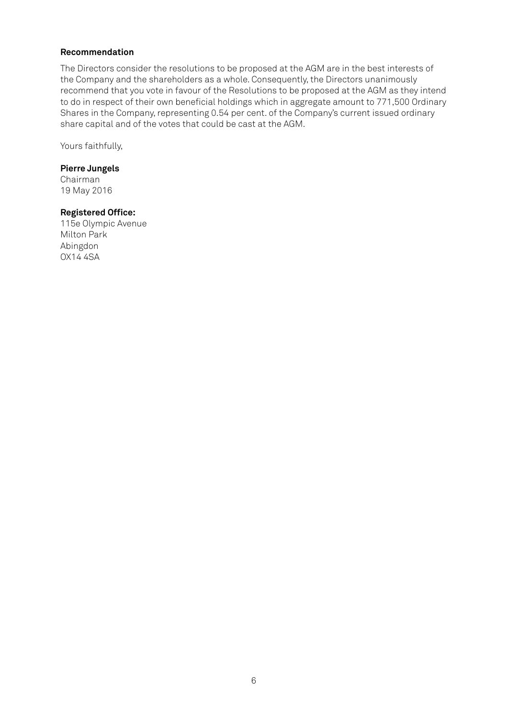#### **Recommendation**

The Directors consider the resolutions to be proposed at the AGM are in the best interests of the Company and the shareholders as a whole. Consequently, the Directors unanimously recommend that you vote in favour of the Resolutions to be proposed at the AGM as they intend to do in respect of their own beneficial holdings which in aggregate amount to 771,500 Ordinary Shares in the Company, representing 0.54 per cent. of the Company's current issued ordinary share capital and of the votes that could be cast at the AGM.

Yours faithfully,

#### **Pierre Jungels**

Chairman 19 May 2016

#### **Registered Office:**

115e Olympic Avenue Milton Park Abingdon OX14 4SA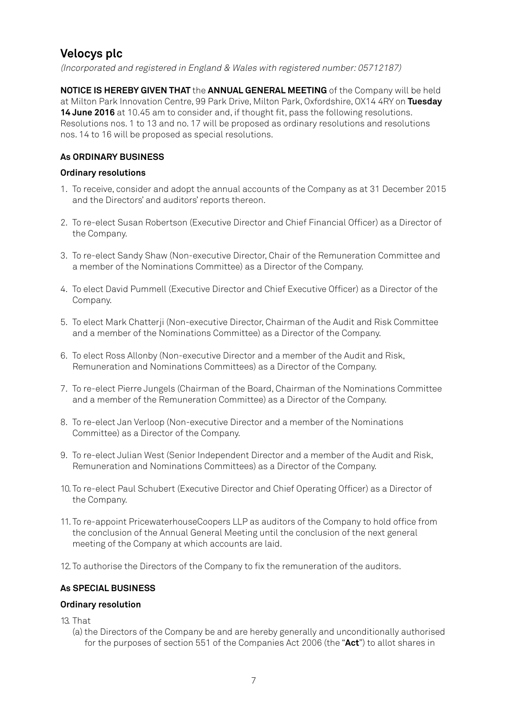# **Velocys plc**

(Incorporated and registered in England & Wales with registered number: 05712187)

**NOTICE IS HEREBY GIVEN THAT** the **ANNUAL GENERAL MEETING** of the Company will be held at Milton Park Innovation Centre, 99 Park Drive, Milton Park, Oxfordshire, OX14 4RY on **Tuesday 14 June 2016** at 10.45 am to consider and, if thought fit, pass the following resolutions. Resolutions nos. 1 to 13 and no. 17 will be proposed as ordinary resolutions and resolutions nos. 14 to 16 will be proposed as special resolutions.

# **As ORDINARY BUSINESS**

# **Ordinary resolutions**

- 1. To receive, consider and adopt the annual accounts of the Company as at 31 December 2015 and the Directors' and auditors' reports thereon.
- 2. To re-elect Susan Robertson (Executive Director and Chief Financial Officer) as a Director of the Company.
- 3. To re-elect Sandy Shaw (Non-executive Director, Chair of the Remuneration Committee and a member of the Nominations Committee) as a Director of the Company.
- 4. To elect David Pummell (Executive Director and Chief Executive Officer) as a Director of the Company.
- 5. To elect Mark Chatterji (Non-executive Director, Chairman of the Audit and Risk Committee and a member of the Nominations Committee) as a Director of the Company.
- 6. To elect Ross Allonby (Non-executive Director and a member of the Audit and Risk, Remuneration and Nominations Committees) as a Director of the Company.
- 7. To re-elect Pierre Jungels (Chairman of the Board, Chairman of the Nominations Committee and a member of the Remuneration Committee) as a Director of the Company.
- 8. To re-elect Jan Verloop (Non-executive Director and a member of the Nominations Committee) as a Director of the Company.
- 9. To re-elect Julian West (Senior Independent Director and a member of the Audit and Risk, Remuneration and Nominations Committees) as a Director of the Company.
- 10. To re-elect Paul Schubert (Executive Director and Chief Operating Officer) as a Director of the Company.
- 11. To re-appoint PricewaterhouseCoopers LLP as auditors of the Company to hold office from the conclusion of the Annual General Meeting until the conclusion of the next general meeting of the Company at which accounts are laid.
- 12. To authorise the Directors of the Company to fix the remuneration of the auditors.

# **As SPECIAL BUSINESS**

# **Ordinary resolution**

- 13. That
	- (a) the Directors of the Company be and are hereby generally and unconditionally authorised for the purposes of section 551 of the Companies Act 2006 (the "**Act**") to allot shares in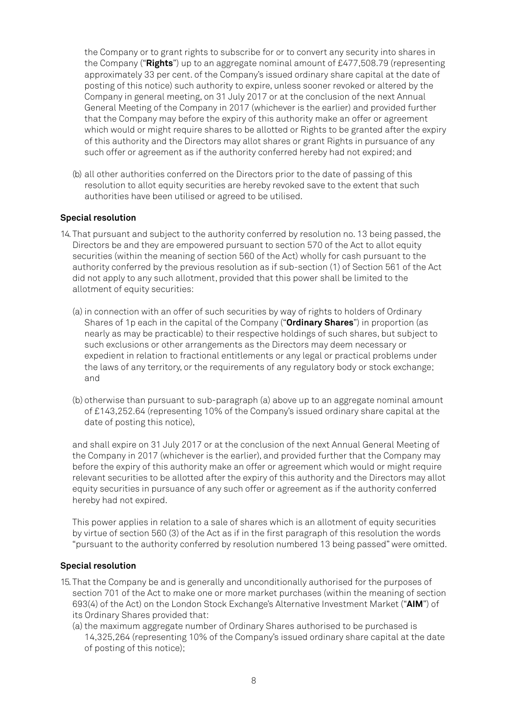the Company or to grant rights to subscribe for or to convert any security into shares in the Company ("**Rights**") up to an aggregate nominal amount of £477,508.79 (representing approximately 33 per cent. of the Company's issued ordinary share capital at the date of posting of this notice) such authority to expire, unless sooner revoked or altered by the Company in general meeting, on 31 July 2017 or at the conclusion of the next Annual General Meeting of the Company in 2017 (whichever is the earlier) and provided further that the Company may before the expiry of this authority make an offer or agreement which would or might require shares to be allotted or Rights to be granted after the expiry of this authority and the Directors may allot shares or grant Rights in pursuance of any such offer or agreement as if the authority conferred hereby had not expired; and

(b) all other authorities conferred on the Directors prior to the date of passing of this resolution to allot equity securities are hereby revoked save to the extent that such authorities have been utilised or agreed to be utilised.

#### **Special resolution**

- 14. That pursuant and subject to the authority conferred by resolution no. 13 being passed, the Directors be and they are empowered pursuant to section 570 of the Act to allot equity securities (within the meaning of section 560 of the Act) wholly for cash pursuant to the authority conferred by the previous resolution as if sub-section (1) of Section 561 of the Act did not apply to any such allotment, provided that this power shall be limited to the allotment of equity securities:
	- (a) in connection with an offer of such securities by way of rights to holders of Ordinary Shares of 1p each in the capital of the Company ("**Ordinary Shares**") in proportion (as nearly as may be practicable) to their respective holdings of such shares, but subject to such exclusions or other arrangements as the Directors may deem necessary or expedient in relation to fractional entitlements or any legal or practical problems under the laws of any territory, or the requirements of any regulatory body or stock exchange; and
	- (b) otherwise than pursuant to sub-paragraph (a) above up to an aggregate nominal amount of £143,252.64 (representing 10% of the Company's issued ordinary share capital at the date of posting this notice),

and shall expire on 31 July 2017 or at the conclusion of the next Annual General Meeting of the Company in 2017 (whichever is the earlier), and provided further that the Company may before the expiry of this authority make an offer or agreement which would or might require relevant securities to be allotted after the expiry of this authority and the Directors may allot equity securities in pursuance of any such offer or agreement as if the authority conferred hereby had not expired.

This power applies in relation to a sale of shares which is an allotment of equity securities by virtue of section 560 (3) of the Act as if in the first paragraph of this resolution the words "pursuant to the authority conferred by resolution numbered 13 being passed" were omitted.

#### **Special resolution**

- 15. That the Company be and is generally and unconditionally authorised for the purposes of section 701 of the Act to make one or more market purchases (within the meaning of section 693(4) of the Act) on the London Stock Exchange's Alternative Investment Market ("**AIM**") of its Ordinary Shares provided that:
	- (a) the maximum aggregate number of Ordinary Shares authorised to be purchased is 14,325,264 (representing 10% of the Company's issued ordinary share capital at the date of posting of this notice);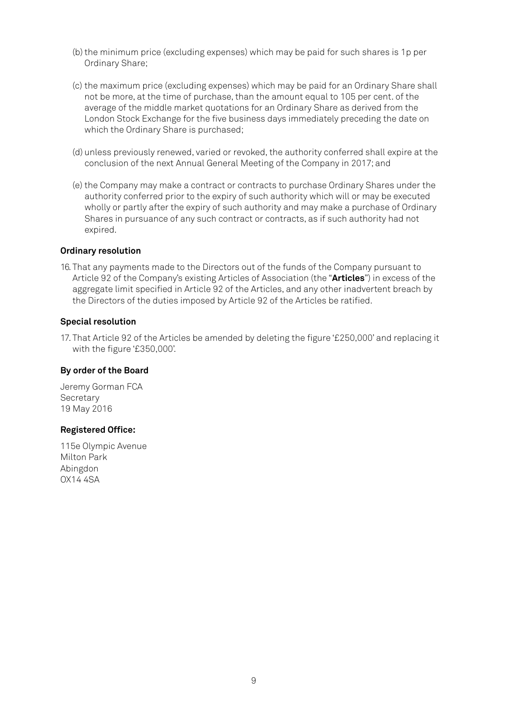- (b) the minimum price (excluding expenses) which may be paid for such shares is 1p per Ordinary Share;
- (c) the maximum price (excluding expenses) which may be paid for an Ordinary Share shall not be more, at the time of purchase, than the amount equal to 105 per cent. of the average of the middle market quotations for an Ordinary Share as derived from the London Stock Exchange for the five business days immediately preceding the date on which the Ordinary Share is purchased;
- (d) unless previously renewed, varied or revoked, the authority conferred shall expire at the conclusion of the next Annual General Meeting of the Company in 2017; and
- (e) the Company may make a contract or contracts to purchase Ordinary Shares under the authority conferred prior to the expiry of such authority which will or may be executed wholly or partly after the expiry of such authority and may make a purchase of Ordinary Shares in pursuance of any such contract or contracts, as if such authority had not expired.

#### **Ordinary resolution**

16. That any payments made to the Directors out of the funds of the Company pursuant to Article 92 of the Company's existing Articles of Association (the "**Articles**") in excess of the aggregate limit specified in Article 92 of the Articles, and any other inadvertent breach by the Directors of the duties imposed by Article 92 of the Articles be ratified.

#### **Special resolution**

17. That Article 92 of the Articles be amended by deleting the figure '£250,000' and replacing it with the figure '£350,000'.

#### **By order of the Board**

Jeremy Gorman FCA **Secretary** 19 May 2016

#### **Registered Office:**

115e Olympic Avenue Milton Park Abingdon OX14 4SA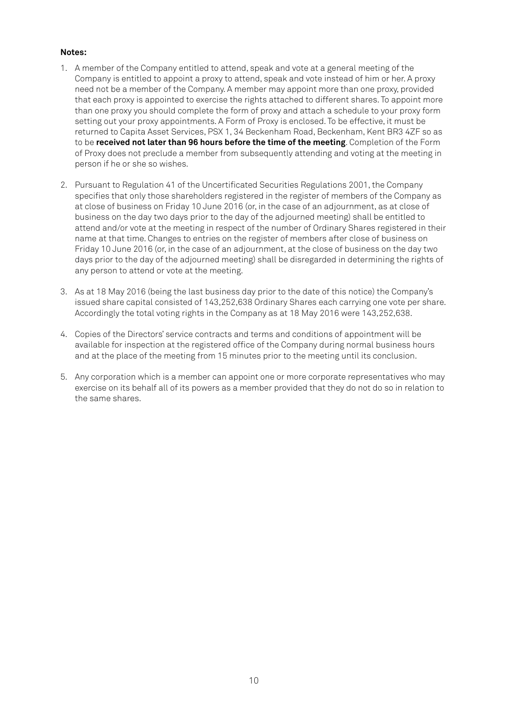#### **Notes:**

- 1. A member of the Company entitled to attend, speak and vote at a general meeting of the Company is entitled to appoint a proxy to attend, speak and vote instead of him or her. A proxy need not be a member of the Company. A member may appoint more than one proxy, provided that each proxy is appointed to exercise the rights attached to different shares. To appoint more than one proxy you should complete the form of proxy and attach a schedule to your proxy form setting out your proxy appointments. A Form of Proxy is enclosed. To be effective, it must be returned to Capita Asset Services, PSX 1, 34 Beckenham Road, Beckenham, Kent BR3 4ZF so as to be **received not later than 96 hours before the time of the meeting**. Completion of the Form of Proxy does not preclude a member from subsequently attending and voting at the meeting in person if he or she so wishes.
- 2. Pursuant to Regulation 41 of the Uncertificated Securities Regulations 2001, the Company specifies that only those shareholders registered in the register of members of the Company as at close of business on Friday 10 June 2016 (or, in the case of an adjournment, as at close of business on the day two days prior to the day of the adjourned meeting) shall be entitled to attend and/or vote at the meeting in respect of the number of Ordinary Shares registered in their name at that time. Changes to entries on the register of members after close of business on Friday 10 June 2016 (or, in the case of an adjournment, at the close of business on the day two days prior to the day of the adjourned meeting) shall be disregarded in determining the rights of any person to attend or vote at the meeting.
- 3. As at 18 May 2016 (being the last business day prior to the date of this notice) the Company's issued share capital consisted of 143,252,638 Ordinary Shares each carrying one vote per share. Accordingly the total voting rights in the Company as at 18 May 2016 were 143,252,638.
- 4. Copies of the Directors' service contracts and terms and conditions of appointment will be available for inspection at the registered office of the Company during normal business hours and at the place of the meeting from 15 minutes prior to the meeting until its conclusion.
- 5. Any corporation which is a member can appoint one or more corporate representatives who may exercise on its behalf all of its powers as a member provided that they do not do so in relation to the same shares.